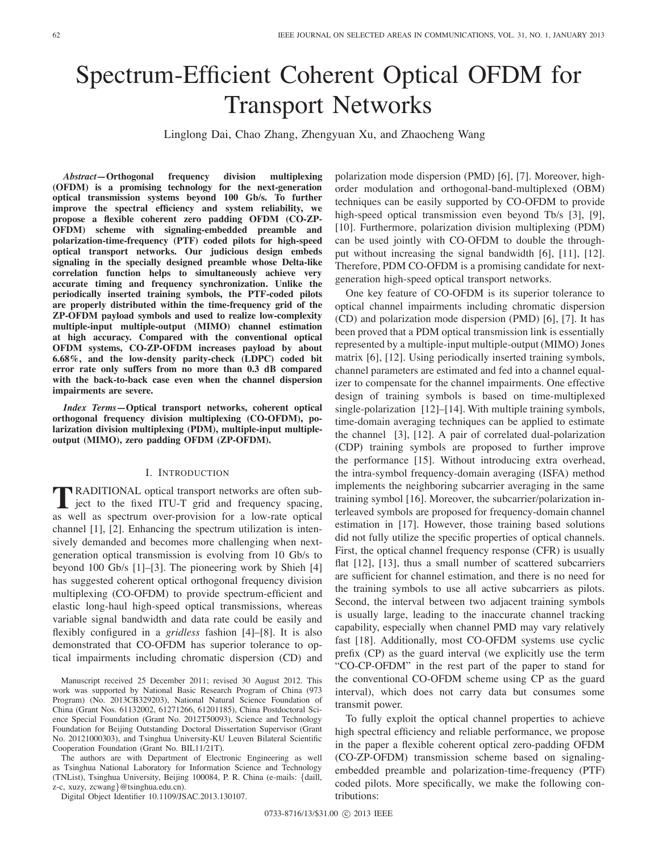# Spectrum-Efficient Coherent Optical OFDM for Transport Networks

Linglong Dai, Chao Zhang, Zhengyuan Xu, and Zhaocheng Wang

*Abstract***—Orthogonal frequency division multiplexing (OFDM) is a promising technology for the next-generation optical transmission systems beyond 100 Gb/s. To further improve the spectral efficiency and system reliability, we propose a flexible coherent zero padding OFDM (CO-ZP-OFDM) scheme with signaling-embedded preamble and polarization-time-frequency (PTF) coded pilots for high-speed optical transport networks. Our judicious design embeds signaling in the specially designed preamble whose Delta-like correlation function helps to simultaneously achieve very accurate timing and frequency synchronization. Unlike the periodically inserted training symbols, the PTF-coded pilots are properly distributed within the time-frequency grid of the ZP-OFDM payload symbols and used to realize low-complexity multiple-input multiple-output (MIMO) channel estimation at high accuracy. Compared with the conventional optical OFDM systems, CO-ZP-OFDM increases payload by about 6.68%, and the low-density parity-check (LDPC) coded bit error rate only suffers from no more than 0.3 dB compared with the back-to-back case even when the channel dispersion impairments are severe.**

*Index Terms***—Optical transport networks, coherent optical orthogonal frequency division multiplexing (CO-OFDM), polarization division multiplexing (PDM), multiple-input multipleoutput (MIMO), zero padding OFDM (ZP-OFDM).**

## I. INTRODUCTION

**T**RADITIONAL optical transport networks are often sub-<br>ect to the fixed ITU T = il 1 ject to the fixed ITU-T grid and frequency spacing, as well as spectrum over-provision for a low-rate optical channel [1], [2]. Enhancing the spectrum utilization is intensively demanded and becomes more challenging when nextgeneration optical transmission is evolving from 10 Gb/s to beyond 100 Gb/s [1]–[3]. The pioneering work by Shieh [4] has suggested coherent optical orthogonal frequency division multiplexing (CO-OFDM) to provide spectrum-efficient and elastic long-haul high-speed optical transmissions, whereas variable signal bandwidth and data rate could be easily and flexibly configured in a *gridless* fashion [4]–[8]. It is also demonstrated that CO-OFDM has superior tolerance to optical impairments including chromatic dispersion (CD) and

Manuscript received 25 December 2011; revised 30 August 2012. This work was supported by National Basic Research Program of China (973 Program) (No. 2013CB329203), National Natural Science Foundation of China (Grant Nos. 61132002, 61271266, 61201185), China Postdoctoral Science Special Foundation (Grant No. 2012T50093), Science and Technology Foundation for Beijing Outstanding Doctoral Dissertation Supervisor (Grant No. 20121000303), and Tsinghua University-KU Leuven Bilateral Scientific Cooperation Foundation (Grant No. BIL11/21T).

The authors are with Department of Electronic Engineering as well as Tsinghua National Laboratory for Information Science and Technology (TNList), Tsinghua University, Beijing 100084, P. R. China (e-mails: {daill, z-c, xuzy, zcwang}@tsinghua.edu.cn).

Digital Object Identifier 10.1109/JSAC.2013.130107.

polarization mode dispersion (PMD) [6], [7]. Moreover, highorder modulation and orthogonal-band-multiplexed (OBM) techniques can be easily supported by CO-OFDM to provide high-speed optical transmission even beyond Tb/s [3], [9], [10]. Furthermore, polarization division multiplexing (PDM) can be used jointly with CO-OFDM to double the throughput without increasing the signal bandwidth [6], [11], [12]. Therefore, PDM CO-OFDM is a promising candidate for nextgeneration high-speed optical transport networks.

One key feature of CO-OFDM is its superior tolerance to optical channel impairments including chromatic dispersion (CD) and polarization mode dispersion (PMD) [6], [7]. It has been proved that a PDM optical transmission link is essentially represented by a multiple-input multiple-output (MIMO) Jones matrix [6], [12]. Using periodically inserted training symbols, channel parameters are estimated and fed into a channel equalizer to compensate for the channel impairments. One effective design of training symbols is based on time-multiplexed single-polarization [12]–[14]. With multiple training symbols, time-domain averaging techniques can be applied to estimate the channel [3], [12]. A pair of correlated dual-polarization (CDP) training symbols are proposed to further improve the performance [15]. Without introducing extra overhead, the intra-symbol frequency-domain averaging (ISFA) method implements the neighboring subcarrier averaging in the same training symbol [16]. Moreover, the subcarrier/polarization interleaved symbols are proposed for frequency-domain channel estimation in [17]. However, those training based solutions did not fully utilize the specific properties of optical channels. First, the optical channel frequency response (CFR) is usually flat [12], [13], thus a small number of scattered subcarriers are sufficient for channel estimation, and there is no need for the training symbols to use all active subcarriers as pilots. Second, the interval between two adjacent training symbols is usually large, leading to the inaccurate channel tracking capability, especially when channel PMD may vary relatively fast [18]. Additionally, most CO-OFDM systems use cyclic prefix (CP) as the guard interval (we explicitly use the term "CO-CP-OFDM" in the rest part of the paper to stand for the conventional CO-OFDM scheme using CP as the guard interval), which does not carry data but consumes some transmit power.

To fully exploit the optical channel properties to achieve high spectral efficiency and reliable performance, we propose in the paper a flexible coherent optical zero-padding OFDM (CO-ZP-OFDM) transmission scheme based on signalingembedded preamble and polarization-time-frequency (PTF) coded pilots. More specifically, we make the following contributions: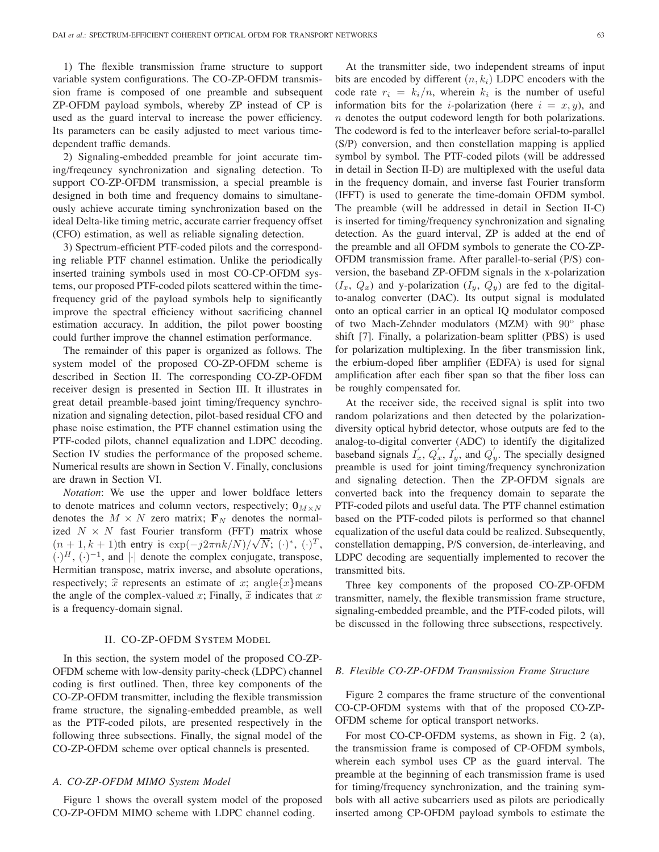1) The flexible transmission frame structure to support variable system configurations. The CO-ZP-OFDM transmission frame is composed of one preamble and subsequent ZP-OFDM payload symbols, whereby ZP instead of CP is used as the guard interval to increase the power efficiency. Its parameters can be easily adjusted to meet various timedependent traffic demands.

2) Signaling-embedded preamble for joint accurate timing/freqeuncy synchronization and signaling detection. To support CO-ZP-OFDM transmission, a special preamble is designed in both time and frequency domains to simultaneously achieve accurate timing synchronization based on the ideal Delta-like timing metric, accurate carrier frequency offset (CFO) estimation, as well as reliable signaling detection.

3) Spectrum-efficient PTF-coded pilots and the corresponding reliable PTF channel estimation. Unlike the periodically inserted training symbols used in most CO-CP-OFDM systems, our proposed PTF-coded pilots scattered within the timefrequency grid of the payload symbols help to significantly improve the spectral efficiency without sacrificing channel estimation accuracy. In addition, the pilot power boosting could further improve the channel estimation performance.

The remainder of this paper is organized as follows. The system model of the proposed CO-ZP-OFDM scheme is described in Section II. The corresponding CO-ZP-OFDM receiver design is presented in Section III. It illustrates in great detail preamble-based joint timing/frequency synchronization and signaling detection, pilot-based residual CFO and phase noise estimation, the PTF channel estimation using the PTF-coded pilots, channel equalization and LDPC decoding. Section IV studies the performance of the proposed scheme. Numerical results are shown in Section V. Finally, conclusions are drawn in Section VI.

*Notation*: We use the upper and lower boldface letters to denote matrices and column vectors, respectively;  $\mathbf{0}_{M \times N}$ denotes the  $M \times N$  zero matrix;  $\mathbf{F}_N$  denotes the normalized  $N \times N$  fast Fourier transform (FFT) matrix whose  $(n+1, k+1)$ th entry is  $\exp(-j2\pi n k/N)/\sqrt{N}$ ;  $(\cdot)^{*}$ ,  $(\cdot)^{T}$ ,  $(\cdot)^H$ ,  $(\cdot)^{-1}$ , and  $|\cdot|$  denote the complex conjugate, transpose, Hermitian transpose, matrix inverse, and absolute operations, respectively;  $\hat{x}$  represents an estimate of x; angle{x}means the angle of the complex-valued x; Finally,  $\tilde{x}$  indicates that x is a frequency-domain signal.

#### II. CO-ZP-OFDM SYSTEM MODEL

In this section, the system model of the proposed CO-ZP-OFDM scheme with low-density parity-check (LDPC) channel coding is first outlined. Then, three key components of the CO-ZP-OFDM transmitter, including the flexible transmission frame structure, the signaling-embedded preamble, as well as the PTF-coded pilots, are presented respectively in the following three subsections. Finally, the signal model of the CO-ZP-OFDM scheme over optical channels is presented.

## *A. CO-ZP-OFDM MIMO System Model*

Figure 1 shows the overall system model of the proposed CO-ZP-OFDM MIMO scheme with LDPC channel coding.

At the transmitter side, two independent streams of input bits are encoded by different  $(n, k_i)$  LDPC encoders with the code rate  $r_i = k_i/n$ , wherein  $k_i$  is the number of useful information bits for the *i*-polarization (here  $i = x, y$ ), and  $n$  denotes the output codeword length for both polarizations. The codeword is fed to the interleaver before serial-to-parallel (S/P) conversion, and then constellation mapping is applied symbol by symbol. The PTF-coded pilots (will be addressed in detail in Section II-D) are multiplexed with the useful data in the frequency domain, and inverse fast Fourier transform (IFFT) is used to generate the time-domain OFDM symbol. The preamble (will be addressed in detail in Section II-C) is inserted for timing/frequency synchronization and signaling detection. As the guard interval, ZP is added at the end of the preamble and all OFDM symbols to generate the CO-ZP-OFDM transmission frame. After parallel-to-serial (P/S) conversion, the baseband ZP-OFDM signals in the x-polarization  $(I_x, Q_x)$  and y-polarization  $(I_y, Q_y)$  are fed to the digitalto-analog converter (DAC). Its output signal is modulated onto an optical carrier in an optical IQ modulator composed of two Mach-Zehnder modulators (MZM) with  $90^\circ$  phase shift [7]. Finally, a polarization-beam splitter (PBS) is used for polarization multiplexing. In the fiber transmission link, the erbium-doped fiber amplifier (EDFA) is used for signal amplification after each fiber span so that the fiber loss can be roughly compensated for.

At the receiver side, the received signal is split into two random polarizations and then detected by the polarizationdiversity optical hybrid detector, whose outputs are fed to the analog-to-digital converter (ADC) to identify the digitalized baseband signals  $I'_x$ ,  $Q'_x$ ,  $I'_y$ , and  $Q'_y$ . The specially designed preamble is used for joint timing/frequency synchronization and signaling detection. Then the ZP-OFDM signals are converted back into the frequency domain to separate the PTF-coded pilots and useful data. The PTF channel estimation based on the PTF-coded pilots is performed so that channel equalization of the useful data could be realized. Subsequently, constellation demapping, P/S conversion, de-interleaving, and LDPC decoding are sequentially implemented to recover the transmitted bits.

Three key components of the proposed CO-ZP-OFDM transmitter, namely, the flexible transmission frame structure, signaling-embedded preamble, and the PTF-coded pilots, will be discussed in the following three subsections, respectively.

#### *B. Flexible CO-ZP-OFDM Transmission Frame Structure*

Figure 2 compares the frame structure of the conventional CO-CP-OFDM systems with that of the proposed CO-ZP-OFDM scheme for optical transport networks.

For most CO-CP-OFDM systems, as shown in Fig. 2 (a), the transmission frame is composed of CP-OFDM symbols, wherein each symbol uses CP as the guard interval. The preamble at the beginning of each transmission frame is used for timing/frequency synchronization, and the training symbols with all active subcarriers used as pilots are periodically inserted among CP-OFDM payload symbols to estimate the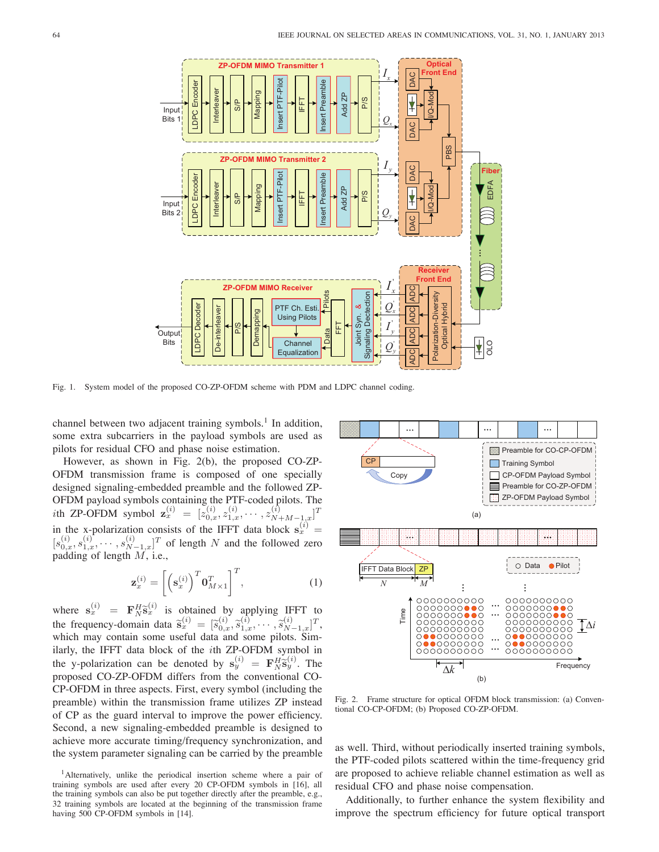

Fig. 1. System model of the proposed CO-ZP-OFDM scheme with PDM and LDPC channel coding.

channel between two adjacent training symbols.<sup>1</sup> In addition, some extra subcarriers in the payload symbols are used as pilots for residual CFO and phase noise estimation.

However, as shown in Fig. 2(b), the proposed CO-ZP-OFDM transmission frame is composed of one specially designed signaling-embedded preamble and the followed ZP-OFDM payload symbols containing the PTF-coded pilots. The *i*th ZP-OFDM symbol  $\mathbf{z}_x^{(i)} = [z_{0,x}^{(i)}, z_{1,x}^{(i)}, \cdots, z_{N+M-1,x}^{(i)}]^T$ in the x-polarization consists of the IFFT data block  $\mathbf{s}_x^{(i)}$  =  $[s_{0,x}^{(i)}, s_{1,x}^{(i)}, \cdots, s_{N-1,x}^{(i)}]^T$  of length N and the followed zero padding of length  $M$ , i.e.,

$$
\mathbf{z}_x^{(i)} = \left[ \left( \mathbf{s}_x^{(i)} \right)^T \mathbf{0}_{M \times 1}^T \right]^T, \tag{1}
$$

where  $\mathbf{s}_x^{(i)} = \mathbf{F}_N^H \widetilde{\mathbf{s}}_x^{(i)}$  is obtained by applying IFFT to the frequency-domain data  $\widetilde{\mathbf{s}}_x^{(i)} = [\widetilde{s}_{0,x}^{(i)}, \widetilde{s}_{1,x}^{(i)}, \cdots, \widetilde{s}_{N-1,x}^{(i)}]^T$ which may contain some useful data and some pilots. Similarly, the IFFT data block of the ith ZP-OFDM symbol in the y-polarization can be denoted by  $\mathbf{s}_y^{(i)} = \mathbf{F}_y^H \tilde{\mathbf{s}}_y^{(i)}$ . The proposed CO-ZP-OFDM differs from the conventional CO-CP-OFDM in three aspects. First, every symbol (including the preamble) within the transmission frame utilizes ZP instead of CP as the guard interval to improve the power efficiency. Second, a new signaling-embedded preamble is designed to achieve more accurate timing/frequency synchronization, and the system parameter signaling can be carried by the preamble



Fig. 2. Frame structure for optical OFDM block transmission: (a) Conventional CO-CP-OFDM; (b) Proposed CO-ZP-OFDM.

as well. Third, without periodically inserted training symbols, the PTF-coded pilots scattered within the time-frequency grid are proposed to achieve reliable channel estimation as well as residual CFO and phase noise compensation.

Additionally, to further enhance the system flexibility and improve the spectrum efficiency for future optical transport

<sup>&</sup>lt;sup>1</sup>Alternatively, unlike the periodical insertion scheme where a pair of training symbols are used after every 20 CP-OFDM symbols in [16], all the training symbols can also be put together directly after the preamble, e.g., 32 training symbols are located at the beginning of the transmission frame having 500 CP-OFDM symbols in [14].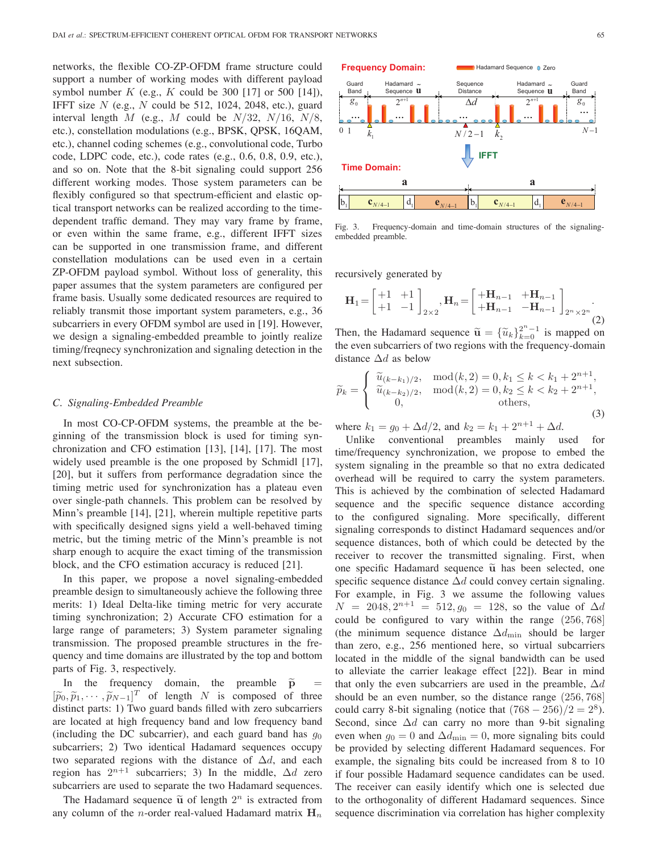networks, the flexible CO-ZP-OFDM frame structure could support a number of working modes with different payload symbol number  $K$  (e.g.,  $K$  could be 300 [17] or 500 [14]), IFFT size  $N$  (e.g.,  $N$  could be 512, 1024, 2048, etc.), guard interval length  $M$  (e.g.,  $M$  could be  $N/32$ ,  $N/16$ ,  $N/8$ , etc.), constellation modulations (e.g., BPSK, QPSK, 16QAM, etc.), channel coding schemes (e.g., convolutional code, Turbo code, LDPC code, etc.), code rates (e.g., 0.6, 0.8, 0.9, etc.), and so on. Note that the 8-bit signaling could support 256 different working modes. Those system parameters can be flexibly configured so that spectrum-efficient and elastic optical transport networks can be realized according to the timedependent traffic demand. They may vary frame by frame, or even within the same frame, e.g., different IFFT sizes can be supported in one transmission frame, and different constellation modulations can be used even in a certain ZP-OFDM payload symbol. Without loss of generality, this paper assumes that the system parameters are configured per frame basis. Usually some dedicated resources are required to reliably transmit those important system parameters, e.g., 36 subcarriers in every OFDM symbol are used in [19]. However, we design a signaling-embedded preamble to jointly realize timing/freqnecy synchronization and signaling detection in the next subsection.

#### *C. Signaling-Embedded Preamble*

In most CO-CP-OFDM systems, the preamble at the beginning of the transmission block is used for timing synchronization and CFO estimation [13], [14], [17]. The most widely used preamble is the one proposed by Schmidl [17], [20], but it suffers from performance degradation since the timing metric used for synchronization has a plateau even over single-path channels. This problem can be resolved by Minn's preamble [14], [21], wherein multiple repetitive parts with specifically designed signs yield a well-behaved timing metric, but the timing metric of the Minn's preamble is not sharp enough to acquire the exact timing of the transmission block, and the CFO estimation accuracy is reduced [21].

In this paper, we propose a novel signaling-embedded preamble design to simultaneously achieve the following three merits: 1) Ideal Delta-like timing metric for very accurate timing synchronization; 2) Accurate CFO estimation for a large range of parameters; 3) System parameter signaling transmission. The proposed preamble structures in the frequency and time domains are illustrated by the top and bottom parts of Fig. 3, respectively.

In the frequency domain, the preamble  $\tilde{p}$  =  $[\widetilde{p}_0, \widetilde{p}_1, \cdots, \widetilde{p}_{N-1}]^T$  of length N is composed of three<br>distinct neutral). The small hands filled with some subseminant distinct parts: 1) Two guard bands filled with zero subcarriers are located at high frequency band and low frequency band (including the DC subcarrier), and each guard band has  $q_0$ subcarriers; 2) Two identical Hadamard sequences occupy two separated regions with the distance of  $\Delta d$ , and each region has  $2^{n+1}$  subcarriers; 3) In the middle,  $\Delta d$  zero subcarriers are used to separate the two Hadamard sequences.

The Hadamard sequence  $\tilde{u}$  of length  $2^n$  is extracted from any column of the *n*-order real-valued Hadamard matrix  $\mathbf{H}_n$ 



Fig. 3. Frequency-domain and time-domain structures of the signalingembedded preamble.

recursively generated by

$$
\mathbf{H}_{1} = \begin{bmatrix} +1 & +1 \\ +1 & -1 \end{bmatrix}_{2 \times 2}, \mathbf{H}_{n} = \begin{bmatrix} +\mathbf{H}_{n-1} & +\mathbf{H}_{n-1} \\ +\mathbf{H}_{n-1} & -\mathbf{H}_{n-1} \end{bmatrix}_{2^{n} \times 2^{n}}.
$$
\n(2)

Then, the Hadamard sequence  $\tilde{\mathbf{u}} = {\{\tilde{u}_k\}}_{k=0}^{2^n-1}$  is mapped on the avenue whenever of two regions with the frequency demonstration the even subcarriers of two regions with the frequency-domain distance  $\Delta d$  as below

$$
\widetilde{p}_k = \begin{cases}\n\widetilde{u}_{(k-k_1)/2}, & \text{mod}(k,2) = 0, k_1 \le k < k_1 + 2^{n+1}, \\
\widetilde{u}_{(k-k_2)/2}, & \text{mod}(k,2) = 0, k_2 \le k < k_2 + 2^{n+1}, \\
0, & \text{others},\n\end{cases} \tag{3}
$$

where  $k_1 = g_0 + \Delta d/2$ , and  $k_2 = k_1 + 2^{n+1} + \Delta d$ .

Unlike conventional preambles mainly used for time/frequency synchronization, we propose to embed the system signaling in the preamble so that no extra dedicated overhead will be required to carry the system parameters. This is achieved by the combination of selected Hadamard sequence and the specific sequence distance according to the configured signaling. More specifically, different signaling corresponds to distinct Hadamard sequences and/or sequence distances, both of which could be detected by the receiver to recover the transmitted signaling. First, when one specific Hadamard sequence **<sup>u</sup>** has been selected, one specific sequence distance  $\Delta d$  could convey certain signaling. For example, in Fig. 3 we assume the following values  $N = 2048, 2^{n+1} = 512, g_0 = 128$ , so the value of  $\Delta d$ could be configured to vary within the range (256, 768] (the minimum sequence distance  $\Delta d_{\text{min}}$  should be larger than zero, e.g., 256 mentioned here, so virtual subcarriers located in the middle of the signal bandwidth can be used to alleviate the carrier leakage effect [22]). Bear in mind that only the even subcarriers are used in the preamble,  $\Delta d$ should be an even number, so the distance range (256, 768] could carry 8-bit signaling (notice that  $(768 - 256)/2 = 2^8$ ). Second, since  $\Delta d$  can carry no more than 9-bit signaling even when  $g_0 = 0$  and  $\Delta d_{\text{min}} = 0$ , more signaling bits could be provided by selecting different Hadamard sequences. For example, the signaling bits could be increased from 8 to 10 if four possible Hadamard sequence candidates can be used. The receiver can easily identify which one is selected due to the orthogonality of different Hadamard sequences. Since sequence discrimination via correlation has higher complexity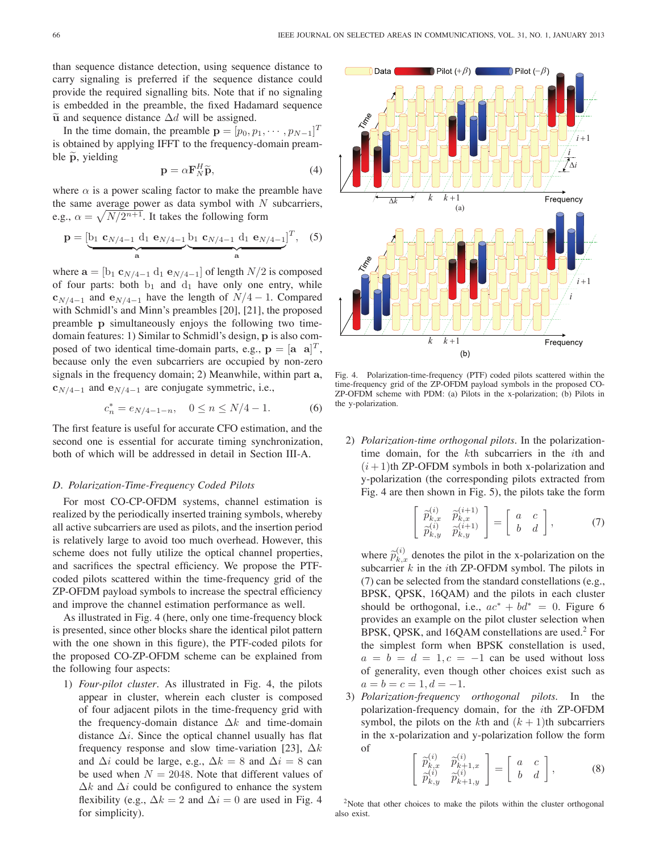than sequence distance detection, using sequence distance to carry signaling is preferred if the sequence distance could provide the required signalling bits. Note that if no signaling is embedded in the preamble, the fixed Hadamard sequence  $\tilde{u}$  and sequence distance  $\Delta d$  will be assigned.

In the time domain, the preamble  $\mathbf{p} = [p_0, p_1, \cdots, p_{N-1}]^T$ is obtained by applying IFFT to the frequency-domain preamble  $\tilde{p}$ , yielding

$$
\mathbf{p} = \alpha \mathbf{F}_N^H \widetilde{\mathbf{p}},\tag{4}
$$

where  $\alpha$  is a power scaling factor to make the preamble have the same average power as data symbol with  $N$  subcarriers, e.g.,  $\alpha = \sqrt{N/2^{n+1}}$ . It takes the following form

$$
\mathbf{p} = \underbrace{[\mathbf{b}_1 \ \mathbf{c}_{N/4-1} \ \mathbf{d}_1 \ \mathbf{e}_{N/4-1} \ \mathbf{b}_1 \ \mathbf{c}_{N/4-1} \ \mathbf{d}_1 \ \mathbf{e}_{N/4-1}]}_{\mathbf{a}}^T, \quad (5)
$$

where  $\mathbf{a} = \begin{bmatrix} b_1 \mathbf{c}_{N/4-1} \, d_1 \, \mathbf{e}_{N/4-1} \end{bmatrix}$  of length  $N/2$  is composed of four parts: both  $b_1$  and  $d_1$  have only one entry, while  $c_{N/4-1}$  and  $e_{N/4-1}$  have the length of  $N/4-1$ . Compared with Schmidl's and Minn's preambles [20], [21], the proposed preamble **p** simultaneously enjoys the following two timedomain features: 1) Similar to Schmidl's design, **p** is also composed of two identical time-domain parts, e.g.,  $\mathbf{p} = [\mathbf{a} \ \mathbf{a}]^T$ , because only the even subcarriers are occupied by non-zero signals in the frequency domain; 2) Meanwhile, within part **a**,  $\mathbf{c}_{N/4-1}$  and  $\mathbf{e}_{N/4-1}$  are conjugate symmetric, i.e.,

$$
c_n^* = e_{N/4-1-n}, \quad 0 \le n \le N/4-1. \tag{6}
$$

The first feature is useful for accurate CFO estimation, and the second one is essential for accurate timing synchronization, both of which will be addressed in detail in Section III-A.

## *D. Polarization-Time-Frequency Coded Pilots*

For most CO-CP-OFDM systems, channel estimation is realized by the periodically inserted training symbols, whereby all active subcarriers are used as pilots, and the insertion period is relatively large to avoid too much overhead. However, this scheme does not fully utilize the optical channel properties, and sacrifices the spectral efficiency. We propose the PTFcoded pilots scattered within the time-frequency grid of the ZP-OFDM payload symbols to increase the spectral efficiency and improve the channel estimation performance as well.

As illustrated in Fig. 4 (here, only one time-frequency block is presented, since other blocks share the identical pilot pattern with the one shown in this figure), the PTF-coded pilots for the proposed CO-ZP-OFDM scheme can be explained from the following four aspects:

1) *Four-pilot cluster*. As illustrated in Fig. 4, the pilots appear in cluster, wherein each cluster is composed of four adjacent pilots in the time-frequency grid with the frequency-domain distance  $\Delta k$  and time-domain distance  $\Delta i$ . Since the optical channel usually has flat frequency response and slow time-variation [23],  $\Delta k$ and  $\Delta i$  could be large, e.g.,  $\Delta k = 8$  and  $\Delta i = 8$  can be used when  $N = 2048$ . Note that different values of  $\Delta k$  and  $\Delta i$  could be configured to enhance the system flexibility (e.g.,  $\Delta k = 2$  and  $\Delta i = 0$  are used in Fig. 4 for simplicity).



Fig. 4. Polarization-time-frequency (PTF) coded pilots scattered within the time-frequency grid of the ZP-OFDM payload symbols in the proposed CO-ZP-OFDM scheme with PDM: (a) Pilots in the x-polarization; (b) Pilots in the y-polarization.

2) *Polarization-time orthogonal pilots*. In the polarizationtime domain, for the kth subcarriers in the ith and  $(i + 1)$ th ZP-OFDM symbols in both x-polarization and y-polarization (the corresponding pilots extracted from Fig. 4 are then shown in Fig. 5), the pilots take the form

$$
\begin{bmatrix}\n\widetilde{p}_{k,x}^{(i)} & \widetilde{p}_{k,x}^{(i+1)} \\
\widetilde{p}_{k,y}^{(i)} & \widetilde{p}_{k,y}^{(i+1)}\n\end{bmatrix} = \begin{bmatrix}\na & c \\
b & d\n\end{bmatrix},
$$
\n(7)

where  $\tilde{p}_{k,x}^{(i)}$  denotes the pilot in the x-polarization on the subsetsed in the site of the site of the site of the site of the site of the site of the site of the site of the site of the site of the site of the sit subcarrier  $k$  in the *i*th ZP-OFDM symbol. The pilots in (7) can be selected from the standard constellations (e.g., BPSK, QPSK, 16QAM) and the pilots in each cluster should be orthogonal, i.e.,  $ac^* + bd^* = 0$ . Figure 6 provides an example on the pilot cluster selection when BPSK, QPSK, and 16QAM constellations are used.<sup>2</sup> For the simplest form when BPSK constellation is used,  $a = b = d = 1, c = -1$  can be used without loss of generality, even though other choices exist such as  $a = b = c = 1, d = -1.$ 

3) *Polarization-frequency orthogonal pilots*. In the polarization-frequency domain, for the ith ZP-OFDM symbol, the pilots on the kth and  $(k + 1)$ th subcarriers in the x-polarization and y-polarization follow the form of

$$
\begin{bmatrix}\n\widetilde{p}_{k,x}^{(i)} & \widetilde{p}_{k+1,x}^{(i)} \\
\widetilde{p}_{k,y}^{(i)} & \widetilde{p}_{k+1,y}^{(i)}\n\end{bmatrix} = \begin{bmatrix}\na & c \\
b & d\n\end{bmatrix},
$$
\n(8)

<sup>2</sup>Note that other choices to make the pilots within the cluster orthogonal also exist.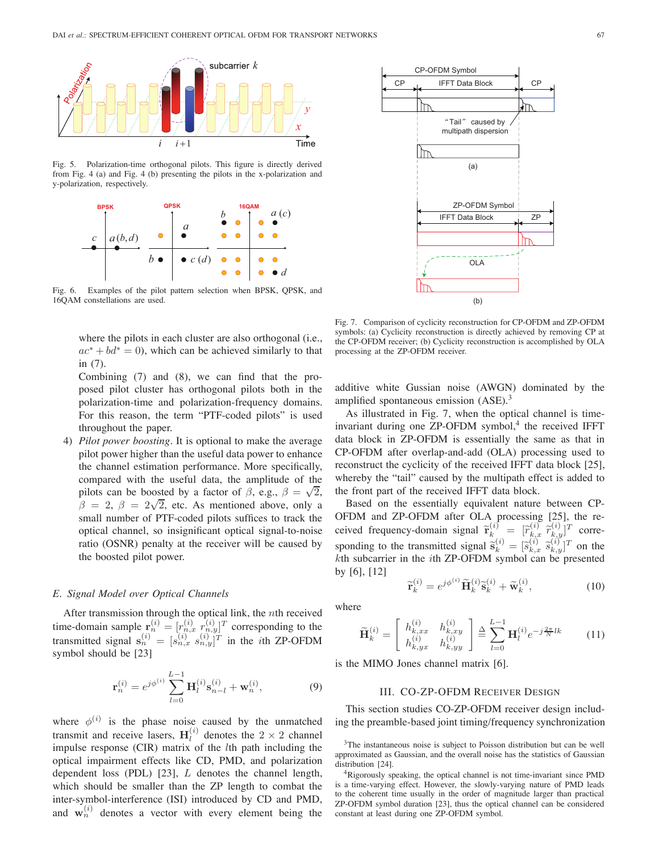

Fig. 5. Polarization-time orthogonal pilots. This figure is directly derived from Fig. 4 (a) and Fig. 4 (b) presenting the pilots in the x-polarization and y-polarization, respectively.



Fig. 6. Examples of the pilot pattern selection when BPSK, QPSK, and 16QAM constellations are used.

where the pilots in each cluster are also orthogonal (i.e.,  $ac^* + bd^* = 0$ , which can be achieved similarly to that in (7).

Combining (7) and (8), we can find that the proposed pilot cluster has orthogonal pilots both in the polarization-time and polarization-frequency domains. For this reason, the term "PTF-coded pilots" is used throughout the paper.

4) *Pilot power boosting*. It is optional to make the average pilot power higher than the useful data power to enhance the channel estimation performance. More specifically, compared with the useful data, the amplitude of the pilots can be boosted by a factor of  $\beta$ , e.g.,  $\beta = \sqrt{2}$ , β = 2,  $β = 2\sqrt{2}$ , etc. As mentioned above, only a small number of PTF-coded pilots suffices to track the optical channel, so insignificant optical signal-to-noise ratio (OSNR) penalty at the receiver will be caused by the boosted pilot power.

#### *E. Signal Model over Optical Channels*

After transmission through the optical link, the nth received time-domain sample  $\mathbf{r}_n^{(i)} = [r_{n,x}^{(i)} \; r_{n,y}^{(i)}]^T$  corresponding to the transmitted signal  $\mathbf{s}_n^{(i)} = [s_{n,x}^{(i)}, s_{n,y}^{(i)}]^T$  in the *i*th ZP-OFDM symbol should be [23]

$$
\mathbf{r}_n^{(i)} = e^{j\phi^{(i)}} \sum_{l=0}^{L-1} \mathbf{H}_l^{(i)} \mathbf{s}_{n-l}^{(i)} + \mathbf{w}_n^{(i)},
$$
(9)

where  $\phi^{(i)}$  is the phase noise caused by the unmatched transmit and receive lasers,  $\mathbf{H}_{l}^{(i)}$  denotes the 2  $\times$  2 channel impulse response (CIR) matrix of the lth path including the optical impairment effects like CD, PMD, and polarization dependent loss (PDL)  $[23]$ , L denotes the channel length, which should be smaller than the ZP length to combat the inter-symbol-interference (ISI) introduced by CD and PMD, and  $\mathbf{w}_n^{(i)}$  denotes a vector with every element being the



Fig. 7. Comparison of cyclicity reconstruction for CP-OFDM and ZP-OFDM symbols: (a) Cyclicity reconstruction is directly achieved by removing CP at the CP-OFDM receiver; (b) Cyclicity reconstruction is accomplished by OLA processing at the ZP-OFDM receiver.

additive white Gussian noise (AWGN) dominated by the amplified spontaneous emission (ASE).<sup>3</sup>

As illustrated in Fig. 7, when the optical channel is timeinvariant during one ZP-OFDM symbol, $4$  the received IFFT data block in ZP-OFDM is essentially the same as that in CP-OFDM after overlap-and-add (OLA) processing used to reconstruct the cyclicity of the received IFFT data block [25], whereby the "tail" caused by the multipath effect is added to the front part of the received IFFT data block.

Based on the essentially equivalent nature between CP-OFDM and ZP-OFDM after OLA processing [25], the received frequency-domain signal  $\widetilde{\mathbf{r}}_k^{(i)} = \begin{bmatrix} \widetilde{\mathbf{r}}_k^{(i)} & \widetilde{\mathbf{r}}_k^{(i)} \end{bmatrix}^T$  corresponding to the transmitted signal  $\tilde{\mathbf{s}}_k^{(i)} = [\tilde{s}_{k,x}^{(i)}, \tilde{s}_{k,y}^{(i)}]^T$  on the lith subsequent in the *i*<sup>th</sup> ZD QEDM sumpled by measured kth subcarrier in the ith ZP-OFDM symbol can be presented by [6], [12]

$$
\widetilde{\mathbf{r}}_k^{(i)} = e^{j\phi^{(i)}} \widetilde{\mathbf{H}}_k^{(i)} \widetilde{\mathbf{s}}_k^{(i)} + \widetilde{\mathbf{w}}_k^{(i)},\tag{10}
$$

where

$$
\widetilde{\mathbf{H}}_{k}^{(i)} = \begin{bmatrix} h_{k,xx}^{(i)} & h_{k,xy}^{(i)} \\ h_{k,yx}^{(i)} & h_{k,yy}^{(i)} \end{bmatrix} \stackrel{\Delta}{=} \sum_{l=0}^{L-1} \mathbf{H}_{l}^{(i)} e^{-j\frac{2\pi}{N}lk} \qquad (11)
$$

is the MIMO Jones channel matrix [6].

#### III. CO-ZP-OFDM RECEIVER DESIGN

This section studies CO-ZP-OFDM receiver design including the preamble-based joint timing/frequency synchronization

 $3$ The instantaneous noise is subject to Poisson distribution but can be well approximated as Gaussian, and the overall noise has the statistics of Gaussian distribution [24].

<sup>4</sup>Rigorously speaking, the optical channel is not time-invariant since PMD is a time-varying effect. However, the slowly-varying nature of PMD leads to the coherent time usually in the order of magnitude larger than practical ZP-OFDM symbol duration [23], thus the optical channel can be considered constant at least during one ZP-OFDM symbol.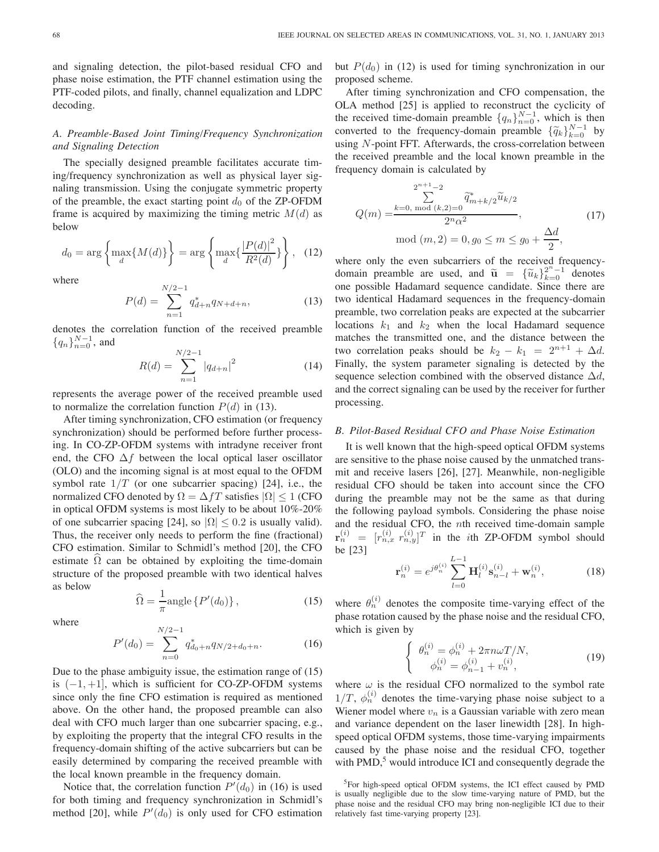and signaling detection, the pilot-based residual CFO and phase noise estimation, the PTF channel estimation using the PTF-coded pilots, and finally, channel equalization and LDPC decoding.

# *A. Preamble-Based Joint Timing/Frequency Synchronization and Signaling Detection*

The specially designed preamble facilitates accurate timing/frequency synchronization as well as physical layer signaling transmission. Using the conjugate symmetric property of the preamble, the exact starting point  $d_0$  of the ZP-OFDM frame is acquired by maximizing the timing metric  $M(d)$  as below

$$
d_0 = \arg\left\{\max_d\{M(d)\}\right\} = \arg\left\{\max_d\{\frac{|P(d)|^2}{R^2(d)}\}\right\},\tag{12}
$$

where

$$
P(d) = \sum_{n=1}^{N/2-1} q_{d+n}^{*} q_{N+d+n},
$$
\n(13)

denotes the correlation function of the received preamble  ${q_n}_{n=0}^{N-1}$ , and

$$
R(d) = \sum_{n=1}^{N/2-1} |q_{d+n}|^2
$$
 (14)

represents the average power of the received preamble used to normalize the correlation function  $P(d)$  in (13).

After timing synchronization, CFO estimation (or frequency synchronization) should be performed before further processing. In CO-ZP-OFDM systems with intradyne receiver front end, the CFO  $\Delta f$  between the local optical laser oscillator (OLO) and the incoming signal is at most equal to the OFDM symbol rate  $1/T$  (or one subcarrier spacing) [24], i.e., the normalized CFO denoted by  $\Omega = \Delta fT$  satisfies  $|\Omega| \leq 1$  (CFO in optical OFDM systems is most likely to be about 10%-20% of one subcarrier spacing [24], so  $|\Omega| \leq 0.2$  is usually valid). Thus, the receiver only needs to perform the fine (fractional) CFO estimation. Similar to Schmidl's method [20], the CFO estimate  $\Omega$  can be obtained by exploiting the time-domain structure of the proposed preamble with two identical halves as below  $\widehat{\Omega} = \frac{1}{\pi} \text{angle} \{ P'(d_0) \},$ (15)

where

$$
P'(d_0) = \sum_{n=0}^{N/2-1} q_{d_0+n}^* q_{N/2+d_0+n}.
$$
 (16)

Due to the phase ambiguity issue, the estimation range of (15) is  $(-1, +1]$ , which is sufficient for CO-ZP-OFDM systems since only the fine CFO estimation is required as mentioned above. On the other hand, the proposed preamble can also deal with CFO much larger than one subcarrier spacing, e.g., by exploiting the property that the integral CFO results in the frequency-domain shifting of the active subcarriers but can be easily determined by comparing the received preamble with the local known preamble in the frequency domain.

Notice that, the correlation function  $P'(d_0)$  in (16) is used for both timing and frequency synchronization in Schmidl's method [20], while  $P'(d_0)$  is only used for CFO estimation

but  $P(d_0)$  in (12) is used for timing synchronization in our proposed scheme.

After timing synchronization and CFO compensation, the OLA method [25] is applied to reconstruct the cyclicity of the received time-domain preamble  ${q_n}_{n=0}^{N-1}$ , which is then converted to the frequency-domain preamble  $\{\widetilde{q}_k\}_{k=0}^{N-1}$  by using N-point FFT. Afterwards, the cross-correlation between the received preamble and the local known preamble in the frequency domain is calculated by

$$
Q(m) = \frac{\sum_{k=0, \text{ mod } (k,2)=0}^{2^{n+1}-2} \tilde{q}_{m+k/2}^* \tilde{u}_{k/2}}{2^n \alpha^2},
$$
  
mod  $(m, 2) = 0, g_0 \le m \le g_0 + \frac{\Delta d}{2},$  (17)

where only the even subcarriers of the received frequencydomain preamble are used, and  $\tilde{u} = {\tilde{u}_k}_{k=0}^{2^n-1}$  denotes one possible Hadamard sequence candidate. Since there are two identical Hadamard sequences in the frequency-domain preamble, two correlation peaks are expected at the subcarrier locations  $k_1$  and  $k_2$  when the local Hadamard sequence matches the transmitted one, and the distance between the two correlation peaks should be  $k_2 - k_1 = 2^{n+1} + \Delta d$ . Finally, the system parameter signaling is detected by the sequence selection combined with the observed distance  $\Delta d$ , and the correct signaling can be used by the receiver for further processing.

## *B. Pilot-Based Residual CFO and Phase Noise Estimation*

It is well known that the high-speed optical OFDM systems are sensitive to the phase noise caused by the unmatched transmit and receive lasers [26], [27]. Meanwhile, non-negligible residual CFO should be taken into account since the CFO during the preamble may not be the same as that during the following payload symbols. Considering the phase noise and the residual CFO, the nth received time-domain sample  $\mathbf{r}_n^{(i)} = [r_{n,x}^{(i)}, r_{n,y}^{(i)}]^T$  in the *i*th ZP-OFDM symbol should be [23]

$$
\mathbf{r}_n^{(i)} = e^{j\theta_n^{(i)}} \sum_{l=0}^{L-1} \mathbf{H}_l^{(i)} \mathbf{s}_{n-l}^{(i)} + \mathbf{w}_n^{(i)},
$$
(18)

where  $\theta_n^{(i)}$  denotes the composite time-varying effect of the phase rotation caused by the phase noise and the residual CFO, which is given by

$$
\begin{cases}\n\theta_n^{(i)} = \phi_n^{(i)} + 2\pi n \omega T/N, \\
\phi_n^{(i)} = \phi_{n-1}^{(i)} + v_n^{(i)},\n\end{cases}
$$
\n(19)

where  $\omega$  is the residual CFO normalized to the symbol rate  $1/T$ ,  $\phi_n^{(i)}$  denotes the time-varying phase noise subject to a Wiener model where  $v_n$  is a Gaussian variable with zero mean and variance dependent on the laser linewidth [28]. In highspeed optical OFDM systems, those time-varying impairments caused by the phase noise and the residual CFO, together with  $PMD<sub>1</sub><sup>5</sup>$  would introduce ICI and consequently degrade the

<sup>5</sup>For high-speed optical OFDM systems, the ICI effect caused by PMD is usually negligible due to the slow time-varying nature of PMD, but the phase noise and the residual CFO may bring non-negligible ICI due to their relatively fast time-varying property [23].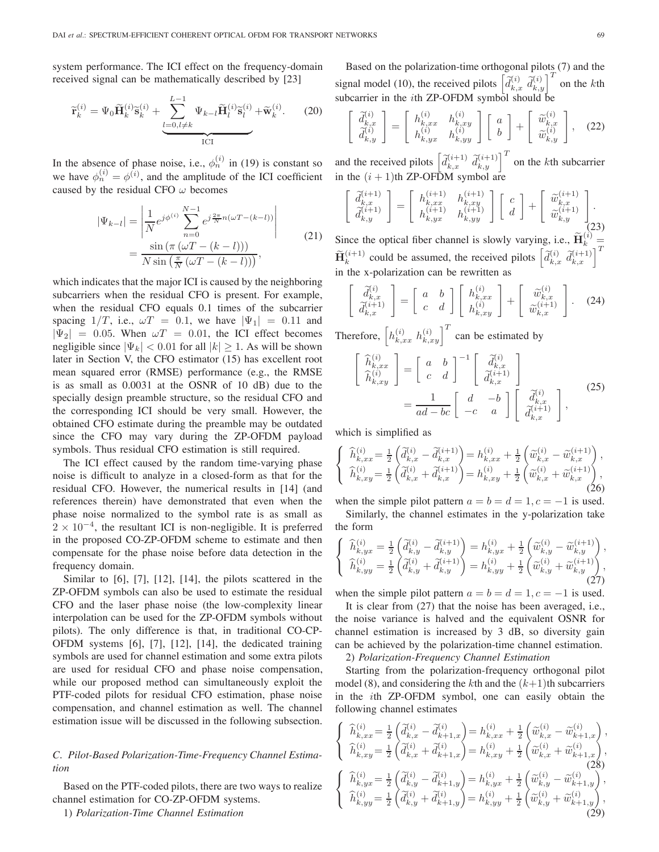system performance. The ICI effect on the frequency-domain received signal can be mathematically described by [23]

$$
\widetilde{\mathbf{r}}_k^{(i)} = \Psi_0 \widetilde{\mathbf{H}}_k^{(i)} \widetilde{\mathbf{s}}_k^{(i)} + \underbrace{\sum_{l=0, l \neq k}^{L-1} \Psi_{k-l} \widetilde{\mathbf{H}}_l^{(i)} \widetilde{\mathbf{s}}_l^{(i)} + \widetilde{\mathbf{w}}_k^{(i)}}_{\text{ICI}}.
$$
 (20)

In the absence of phase noise, i.e.,  $\phi_n^{(i)}$  in (19) is constant so we have  $\phi_n^{(i)} = \phi^{(i)}$ , and the amplitude of the ICI coefficient caused by the residual CFO  $\omega$  becomes

$$
\begin{aligned} |\Psi_{k-l}| &= \left| \frac{1}{N} e^{j\phi^{(i)}} \sum_{n=0}^{N-1} e^{j\frac{2\pi}{N}n(\omega T - (k-l))} \right| \\ &= \frac{\sin\left(\pi\left(\omega T - (k-l)\right)\right)}{N\sin\left(\frac{\pi}{N}\left(\omega T - (k-l)\right)\right)}, \end{aligned} \tag{21}
$$

which indicates that the major ICI is caused by the neighboring subcarriers when the residual CFO is present. For example, when the residual CFO equals 0.1 times of the subcarrier spacing  $1/T$ , i.e.,  $\omega T = 0.1$ , we have  $|\Psi_1| = 0.11$  and  $|\Psi_2| = 0.05$ . When  $\omega T = 0.01$ , the ICI effect becomes negligible since  $|\Psi_k|$  < 0.01 for all  $|k| \ge 1$ . As will be shown later in Section V, the CFO estimator (15) has excellent root mean squared error (RMSE) performance (e.g., the RMSE is as small as 0.0031 at the OSNR of 10 dB) due to the specially design preamble structure, so the residual CFO and the corresponding ICI should be very small. However, the obtained CFO estimate during the preamble may be outdated since the CFO may vary during the ZP-OFDM payload symbols. Thus residual CFO estimation is still required.

The ICI effect caused by the random time-varying phase noise is difficult to analyze in a closed-form as that for the residual CFO. However, the numerical results in [14] (and references therein) have demonstrated that even when the phase noise normalized to the symbol rate is as small as  $2 \times 10^{-4}$ , the resultant ICI is non-negligible. It is preferred in the proposed CO-ZP-OFDM scheme to estimate and then compensate for the phase noise before data detection in the frequency domain.

Similar to [6], [7], [12], [14], the pilots scattered in the ZP-OFDM symbols can also be used to estimate the residual CFO and the laser phase noise (the low-complexity linear interpolation can be used for the ZP-OFDM symbols without pilots). The only difference is that, in traditional CO-CP-OFDM systems [6], [7], [12], [14], the dedicated training symbols are used for channel estimation and some extra pilots are used for residual CFO and phase noise compensation, while our proposed method can simultaneously exploit the PTF-coded pilots for residual CFO estimation, phase noise compensation, and channel estimation as well. The channel estimation issue will be discussed in the following subsection.

# *C. Pilot-Based Polarization-Time-Frequency Channel Estimation*

Based on the PTF-coded pilots, there are two ways to realize channel estimation for CO-ZP-OFDM systems.

1) *Polarization-Time Channel Estimation*

Based on the polarization-time orthogonal pilots (7) and the signal model (10), the received pilots  $\left[\tilde{d}_{k,x}^{(i)} \tilde{d}_{k,y}^{(i)}\right]^T$  on the kth subcarrier in the ith ZP-OFDM symbol should be

$$
\begin{bmatrix}\n\widetilde{d}_{k,x}^{(i)} \\
\widetilde{d}_{k,y}^{(i)}\n\end{bmatrix} = \begin{bmatrix}\nh_{k,xx}^{(i)} & h_{k,xy}^{(i)} \\
h_{k,yx}^{(i)} & h_{k,yy}^{(i)}\n\end{bmatrix} \begin{bmatrix}\na \\
b\n\end{bmatrix} + \begin{bmatrix}\n\widetilde{w}_{k,x}^{(i)} \\
\widetilde{w}_{k,y}^{(i)}\n\end{bmatrix},\n\quad (22)
$$

and the received pilots  $\left[\tilde{d}_{k,x}^{(i+1)} \tilde{d}_{k,y}^{(i+1)}\right]^T$  on the *k*th subcarrier in the  $(i + 1)$ th ZP-OFDM symbol are

$$
\begin{bmatrix}\n\tilde{d}_{k,x}^{(i+1)} \\
\tilde{d}_{k,y}^{(i+1)}\n\end{bmatrix} = \begin{bmatrix}\nh_{k,xx}^{(i+1)} & h_{k,xy}^{(i+1)} \\
h_{k,yx}^{(i+1)} & h_{k,yy}^{(i+1)}\n\end{bmatrix} \begin{bmatrix}\nc \\
d\n\end{bmatrix} + \begin{bmatrix}\n\tilde{w}_{k,x}^{(i+1)} \\
\tilde{w}_{k,y}^{(i+1)}\n\end{bmatrix}.
$$
\n(23)

Since the optical fiber channel is slowly varying, i.e.,  $\widetilde{\mathbf{H}}_k^{(i)} = \frac{1}{k!}$  $\widetilde{\mathbf{H}}_k^{(i+1)}$  could be assumed, the received pilots  $\left[\widetilde{d}_{k,x}^{(i)} \ \widetilde{d}_{k,x}^{(i+1)}\right]^T$ in the x-polarization can be rewritten as

$$
\begin{bmatrix}\n\tilde{d}_{k,x}^{(i)} \\
\tilde{d}_{k,x}^{(i+1)}\n\end{bmatrix} = \begin{bmatrix}\na & b \\
c & d\n\end{bmatrix} \begin{bmatrix}\nh_{k,xx}^{(i)} \\
h_{k,xy}^{(i)}\n\end{bmatrix} + \begin{bmatrix}\n\tilde{w}_{k,x}^{(i)} \\
\tilde{w}_{k,x}^{(i+1)}\n\end{bmatrix}.
$$
\n(24)

Therefore,  $\left[ h_{k,xx}^{(i)} h_{k,xy}^{(i)} \right]^T$  can be estimated by

$$
\begin{bmatrix}\n\hat{h}_{k,xx}^{(i)} \\
\hat{h}_{k,xy}^{(i)}\n\end{bmatrix} = \begin{bmatrix}\na & b \\
c & d\n\end{bmatrix}^{-1} \begin{bmatrix}\n\tilde{d}_{k,x}^{(i)} \\
\tilde{d}_{k,x}^{(i+1)}\n\end{bmatrix} \\
= \frac{1}{ad - bc} \begin{bmatrix}\nd & -b \\
-c & a\n\end{bmatrix} \begin{bmatrix}\n\tilde{d}_{k,x}^{(i)} \\
\tilde{d}_{k,x}^{(i+1)}\n\end{bmatrix},
$$
\n(25)

which is simplified as

$$
\begin{cases}\n\hat{h}_{k,xx}^{(i)} = \frac{1}{2} \left( \tilde{d}_{k,x}^{(i)} - \tilde{d}_{k,x}^{(i+1)} \right) = h_{k,xx}^{(i)} + \frac{1}{2} \left( \tilde{w}_{k,x}^{(i)} - \tilde{w}_{k,x}^{(i+1)} \right), \\
\hat{h}_{k,xy}^{(i)} = \frac{1}{2} \left( \tilde{d}_{k,x}^{(i)} + \tilde{d}_{k,x}^{(i+1)} \right) = h_{k,xy}^{(i)} + \frac{1}{2} \left( \tilde{w}_{k,x}^{(i)} + \tilde{w}_{k,x}^{(i+1)} \right),\n\end{cases}
$$
\n(26)

when the simple pilot pattern  $a = b = d = 1, c = -1$  is used. Similarly, the channel estimates in the y-polarization take the form

$$
\begin{cases}\n\widehat{h}_{k, yx}^{(i)} = \frac{1}{2} \left( \widetilde{d}_{k, y}^{(i)} - \widetilde{d}_{k, y}^{(i+1)} \right) = h_{k, yx}^{(i)} + \frac{1}{2} \left( \widetilde{w}_{k, y}^{(i)} - \widetilde{w}_{k, y}^{(i+1)} \right), \\
\widehat{h}_{k, yy}^{(i)} = \frac{1}{2} \left( \widetilde{d}_{k, y}^{(i)} + \widetilde{d}_{k, y}^{(i+1)} \right) = h_{k, yy}^{(i)} + \frac{1}{2} \left( \widetilde{w}_{k, y}^{(i)} + \widetilde{w}_{k, y}^{(i+1)} \right),\n\end{cases}
$$
\n(27)

when the simple pilot pattern  $a = b = d = 1, c = -1$  is used.

It is clear from (27) that the noise has been averaged, i.e., the noise variance is halved and the equivalent OSNR for channel estimation is increased by 3 dB, so diversity gain can be achieved by the polarization-time channel estimation.

2) *Polarization-Frequency Channel Estimation*

Starting from the polarization-frequency orthogonal pilot model (8), and considering the kth and the  $(k+1)$ th subcarriers in the ith ZP-OFDM symbol, one can easily obtain the following channel estimates

$$
\begin{cases}\n\hat{h}_{k,xx}^{(i)} = \frac{1}{2} \left( \tilde{d}_{k,x}^{(i)} - \tilde{d}_{k+1,x}^{(i)} \right) = h_{k,xx}^{(i)} + \frac{1}{2} \left( \tilde{w}_{k,x}^{(i)} - \tilde{w}_{k+1,x}^{(i)} \right), \\
\hat{h}_{k,xy}^{(i)} = \frac{1}{2} \left( \tilde{d}_{k,x}^{(i)} + \tilde{d}_{k+1,x}^{(i)} \right) = h_{k,xy}^{(i)} + \frac{1}{2} \left( \tilde{w}_{k,x}^{(i)} + \tilde{w}_{k+1,x}^{(i)} \right), \\
\begin{cases}\n\hat{h}_{k,yx}^{(i)} = \frac{1}{2} \left( \tilde{d}_{k,y}^{(i)} - \tilde{d}_{k+1,y}^{(i)} \right) = h_{k,yx}^{(i)} + \frac{1}{2} \left( \tilde{w}_{k,y}^{(i)} - \tilde{w}_{k+1,y}^{(i)} \right), \\
\hat{h}_{k,yy}^{(i)} = \frac{1}{2} \left( \tilde{d}_{k,y}^{(i)} + \tilde{d}_{k+1,y}^{(i)} \right) = h_{k,yy}^{(i)} + \frac{1}{2} \left( \tilde{w}_{k,y}^{(i)} + \tilde{w}_{k+1,y}^{(i)} \right), \\
(29)\n\end{cases}
$$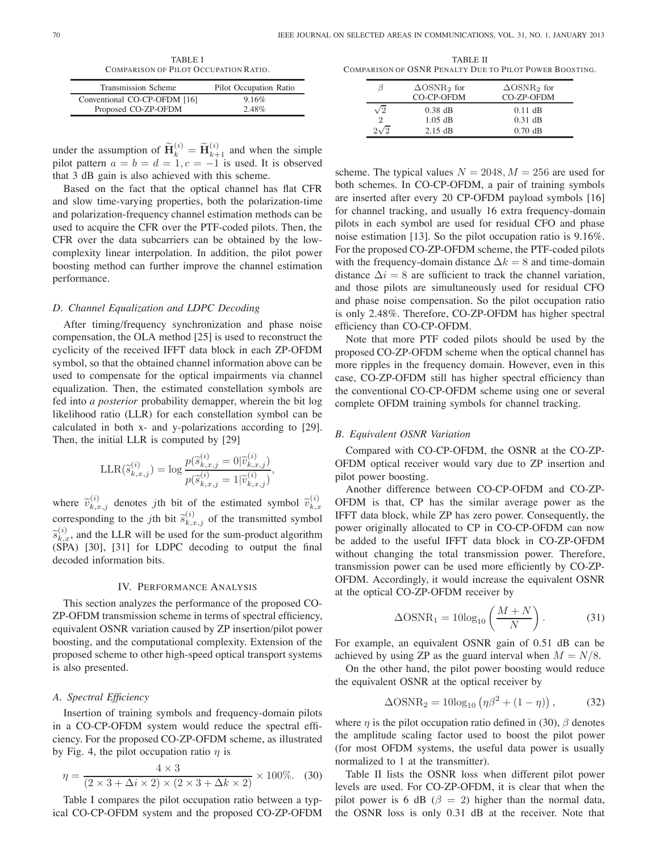TABLE I COMPARISON OF PILOT OCCUPATION RATIO.

| Transmission Scheme          | Pilot Occupation Ratio |
|------------------------------|------------------------|
| Conventional CO-CP-OFDM [16] | 9.16%                  |
| Proposed CO-ZP-OFDM          | $2.48\%$               |

under the assumption of  $\widetilde{\mathbf{H}}_k^{(i)} = \widetilde{\mathbf{H}}_{k+1}^{(i)}$  and when the simple pilot pattern  $a = b = d = 1, c = -1$  is used. It is observed that 3 dB gain is also achieved with this scheme.

Based on the fact that the optical channel has flat CFR and slow time-varying properties, both the polarization-time and polarization-frequency channel estimation methods can be used to acquire the CFR over the PTF-coded pilots. Then, the CFR over the data subcarriers can be obtained by the lowcomplexity linear interpolation. In addition, the pilot power boosting method can further improve the channel estimation performance.

## *D. Channel Equalization and LDPC Decoding*

After timing/frequency synchronization and phase noise compensation, the OLA method [25] is used to reconstruct the cyclicity of the received IFFT data block in each ZP-OFDM symbol, so that the obtained channel information above can be used to compensate for the optical impairments via channel equalization. Then, the estimated constellation symbols are fed into *a posterior* probability demapper, wherein the bit log likelihood ratio (LLR) for each constellation symbol can be calculated in both x- and y-polarizations according to [29]. Then, the initial LLR is computed by [29]

$$
\text{LLR}(\widetilde{s}_{k,x,j}^{(i)}) = \log \frac{p(\widetilde{s}_{k,x,j}^{(i)} = 0 | \widetilde{v}_{k,x,j}^{(i)})}{p(\widetilde{s}_{k,x,j}^{(i)} = 1 | \widetilde{v}_{k,x,j}^{(i)})},
$$

where  $\tilde{v}_{k,x,j}^{(i)}$  denotes jth bit of the estimated symbol  $\tilde{v}_{k,a}^{(i)}$  $\stackrel{\cdot}{k}$ . $\stackrel{\cdot}{x}$ corresponding to the *j*th bit  $\tilde{s}_{k,x,j}^{(i)}$  of the transmitted symbol  $\widetilde{s}_{k,x}^{(i)}$ , and the LLR will be used for the sum-product algorithm (SPA) [30], [31] for LDPC decoding to output the final decoded information bits.

## IV. PERFORMANCE ANALYSIS

This section analyzes the performance of the proposed CO-ZP-OFDM transmission scheme in terms of spectral efficiency, equivalent OSNR variation caused by ZP insertion/pilot power boosting, and the computational complexity. Extension of the proposed scheme to other high-speed optical transport systems is also presented.

#### *A. Spectral Efficiency*

Insertion of training symbols and frequency-domain pilots in a CO-CP-OFDM system would reduce the spectral efficiency. For the proposed CO-ZP-OFDM scheme, as illustrated by Fig. 4, the pilot occupation ratio  $\eta$  is

$$
\eta = \frac{4 \times 3}{(2 \times 3 + \Delta i \times 2) \times (2 \times 3 + \Delta k \times 2)} \times 100\%.\tag{30}
$$

Table I compares the pilot occupation ratio between a typical CO-CP-OFDM system and the proposed CO-ZP-OFDM

TABLE II COMPARISON OF OSNR PENALTY DUE TO PILOT POWER BOOSTING.

| 15            | $\Delta$ OSNR <sub>2</sub> for<br>CO-CP-OFDM | $\Delta$ OSNR <sub>2</sub> for<br>CO-ZP-OFDM |
|---------------|----------------------------------------------|----------------------------------------------|
|               | $0.38$ dB                                    | $0.11$ dB                                    |
| $\mathcal{D}$ | $1.05$ dB                                    | $0.31$ dB                                    |
|               | $2.15$ dB                                    | $0.70$ dB                                    |

scheme. The typical values  $N = 2048, M = 256$  are used for both schemes. In CO-CP-OFDM, a pair of training symbols are inserted after every 20 CP-OFDM payload symbols [16] for channel tracking, and usually 16 extra frequency-domain pilots in each symbol are used for residual CFO and phase noise estimation [13]. So the pilot occupation ratio is 9.16%. For the proposed CO-ZP-OFDM scheme, the PTF-coded pilots with the frequency-domain distance  $\Delta k = 8$  and time-domain distance  $\Delta i = 8$  are sufficient to track the channel variation, and those pilots are simultaneously used for residual CFO and phase noise compensation. So the pilot occupation ratio is only 2.48%. Therefore, CO-ZP-OFDM has higher spectral efficiency than CO-CP-OFDM.

Note that more PTF coded pilots should be used by the proposed CO-ZP-OFDM scheme when the optical channel has more ripples in the frequency domain. However, even in this case, CO-ZP-OFDM still has higher spectral efficiency than the conventional CO-CP-OFDM scheme using one or several complete OFDM training symbols for channel tracking.

## *B. Equivalent OSNR Variation*

Compared with CO-CP-OFDM, the OSNR at the CO-ZP-OFDM optical receiver would vary due to ZP insertion and pilot power boosting.

Another difference between CO-CP-OFDM and CO-ZP-OFDM is that, CP has the similar average power as the IFFT data block, while ZP has zero power. Consequently, the power originally allocated to CP in CO-CP-OFDM can now be added to the useful IFFT data block in CO-ZP-OFDM without changing the total transmission power. Therefore, transmission power can be used more efficiently by CO-ZP-OFDM. Accordingly, it would increase the equivalent OSNR at the optical CO-ZP-OFDM receiver by

$$
\Delta \text{OSNR}_1 = 10 \log_{10} \left( \frac{M+N}{N} \right). \tag{31}
$$

For example, an equivalent OSNR gain of 0.51 dB can be achieved by using ZP as the guard interval when  $M = N/8$ .

On the other hand, the pilot power boosting would reduce the equivalent OSNR at the optical receiver by

$$
\Delta \text{OSNR}_2 = 10 \log_{10} \left( \eta \beta^2 + (1 - \eta) \right), \tag{32}
$$

where  $\eta$  is the pilot occupation ratio defined in (30),  $\beta$  denotes the amplitude scaling factor used to boost the pilot power (for most OFDM systems, the useful data power is usually normalized to 1 at the transmitter).

Table II lists the OSNR loss when different pilot power levels are used. For CO-ZP-OFDM, it is clear that when the pilot power is 6 dB ( $\beta = 2$ ) higher than the normal data, the OSNR loss is only 0.31 dB at the receiver. Note that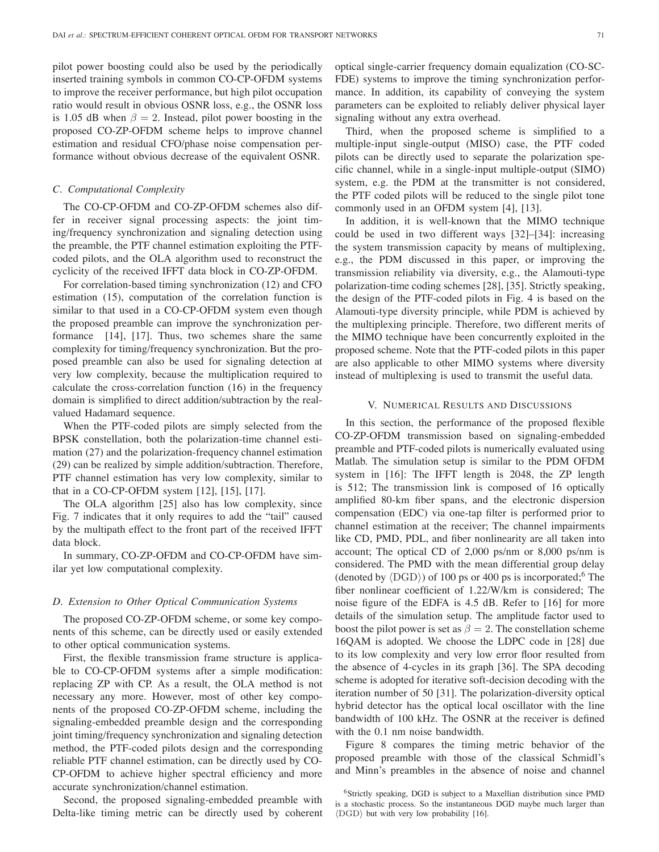pilot power boosting could also be used by the periodically inserted training symbols in common CO-CP-OFDM systems to improve the receiver performance, but high pilot occupation ratio would result in obvious OSNR loss, e.g., the OSNR loss is 1.05 dB when  $\beta = 2$ . Instead, pilot power boosting in the proposed CO-ZP-OFDM scheme helps to improve channel estimation and residual CFO/phase noise compensation performance without obvious decrease of the equivalent OSNR.

## *C. Computational Complexity*

The CO-CP-OFDM and CO-ZP-OFDM schemes also differ in receiver signal processing aspects: the joint timing/frequency synchronization and signaling detection using the preamble, the PTF channel estimation exploiting the PTFcoded pilots, and the OLA algorithm used to reconstruct the cyclicity of the received IFFT data block in CO-ZP-OFDM.

For correlation-based timing synchronization (12) and CFO estimation (15), computation of the correlation function is similar to that used in a CO-CP-OFDM system even though the proposed preamble can improve the synchronization performance [14], [17]. Thus, two schemes share the same complexity for timing/frequency synchronization. But the proposed preamble can also be used for signaling detection at very low complexity, because the multiplication required to calculate the cross-correlation function (16) in the frequency domain is simplified to direct addition/subtraction by the realvalued Hadamard sequence.

When the PTF-coded pilots are simply selected from the BPSK constellation, both the polarization-time channel estimation (27) and the polarization-frequency channel estimation (29) can be realized by simple addition/subtraction. Therefore, PTF channel estimation has very low complexity, similar to that in a CO-CP-OFDM system [12], [15], [17].

The OLA algorithm [25] also has low complexity, since Fig. 7 indicates that it only requires to add the "tail" caused by the multipath effect to the front part of the received IFFT data block.

In summary, CO-ZP-OFDM and CO-CP-OFDM have similar yet low computational complexity.

#### *D. Extension to Other Optical Communication Systems*

The proposed CO-ZP-OFDM scheme, or some key components of this scheme, can be directly used or easily extended to other optical communication systems.

First, the flexible transmission frame structure is applicable to CO-CP-OFDM systems after a simple modification: replacing ZP with CP. As a result, the OLA method is not necessary any more. However, most of other key components of the proposed CO-ZP-OFDM scheme, including the signaling-embedded preamble design and the corresponding joint timing/frequency synchronization and signaling detection method, the PTF-coded pilots design and the corresponding reliable PTF channel estimation, can be directly used by CO-CP-OFDM to achieve higher spectral efficiency and more accurate synchronization/channel estimation.

Second, the proposed signaling-embedded preamble with Delta-like timing metric can be directly used by coherent optical single-carrier frequency domain equalization (CO-SC-FDE) systems to improve the timing synchronization performance. In addition, its capability of conveying the system parameters can be exploited to reliably deliver physical layer signaling without any extra overhead.

Third, when the proposed scheme is simplified to a multiple-input single-output (MISO) case, the PTF coded pilots can be directly used to separate the polarization specific channel, while in a single-input multiple-output (SIMO) system, e.g. the PDM at the transmitter is not considered, the PTF coded pilots will be reduced to the single pilot tone commonly used in an OFDM system [4], [13].

In addition, it is well-known that the MIMO technique could be used in two different ways [32]–[34]: increasing the system transmission capacity by means of multiplexing, e.g., the PDM discussed in this paper, or improving the transmission reliability via diversity, e.g., the Alamouti-type polarization-time coding schemes [28], [35]. Strictly speaking, the design of the PTF-coded pilots in Fig. 4 is based on the Alamouti-type diversity principle, while PDM is achieved by the multiplexing principle. Therefore, two different merits of the MIMO technique have been concurrently exploited in the proposed scheme. Note that the PTF-coded pilots in this paper are also applicable to other MIMO systems where diversity instead of multiplexing is used to transmit the useful data.

#### V. NUMERICAL RESULTS AND DISCUSSIONS

In this section, the performance of the proposed flexible CO-ZP-OFDM transmission based on signaling-embedded preamble and PTF-coded pilots is numerically evaluated using Matlab. The simulation setup is similar to the PDM OFDM system in [16]: The IFFT length is 2048, the ZP length is 512; The transmission link is composed of 16 optically amplified 80-km fiber spans, and the electronic dispersion compensation (EDC) via one-tap filter is performed prior to channel estimation at the receiver; The channel impairments like CD, PMD, PDL, and fiber nonlinearity are all taken into account; The optical CD of 2,000 ps/nm or 8,000 ps/nm is considered. The PMD with the mean differential group delay (denoted by  $\langle DGD \rangle$ ) of 100 ps or 400 ps is incorporated;<sup>6</sup> The fiber nonlinear coefficient of 1.22/W/km is considered; The noise figure of the EDFA is 4.5 dB. Refer to [16] for more details of the simulation setup. The amplitude factor used to boost the pilot power is set as  $\beta = 2$ . The constellation scheme 16QAM is adopted. We choose the LDPC code in [28] due to its low complexity and very low error floor resulted from the absence of 4-cycles in its graph [36]. The SPA decoding scheme is adopted for iterative soft-decision decoding with the iteration number of 50 [31]. The polarization-diversity optical hybrid detector has the optical local oscillator with the line bandwidth of 100 kHz. The OSNR at the receiver is defined with the 0.1 nm noise bandwidth.

Figure 8 compares the timing metric behavior of the proposed preamble with those of the classical Schmidl's and Minn's preambles in the absence of noise and channel

<sup>6</sup>Strictly speaking, DGD is subject to a Maxellian distribution since PMD is a stochastic process. So the instantaneous DGD maybe much larger than  $\langle$ DGD $\rangle$  but with very low probability [16].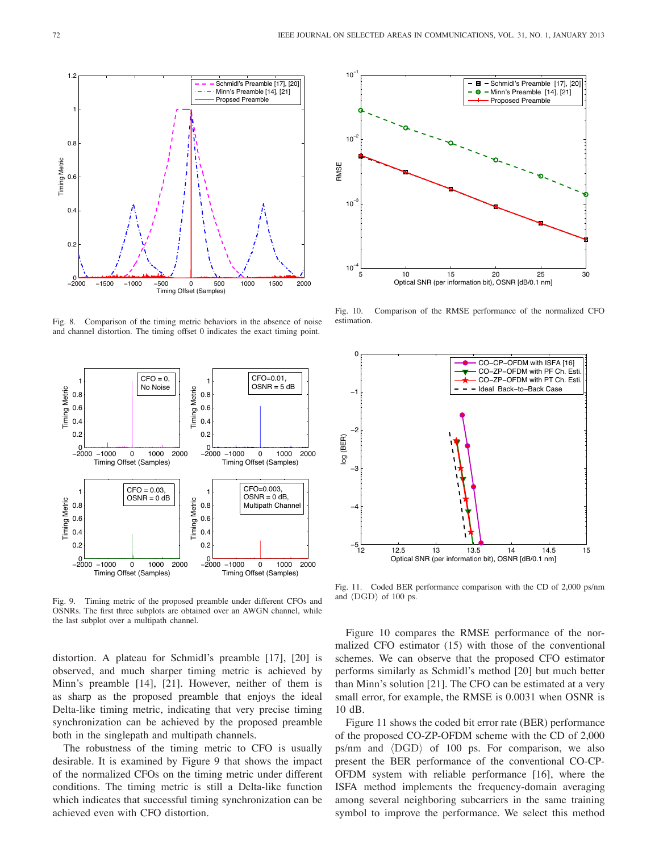Fig. 8. Comparison of the timing metric behaviors in the absence of noise and channel distortion. The timing offset 0 indicates the exact timing point.

 $0.2$ 0.4 0.6  $0.8$ 1

 $-2000$ 0.2 0.4 0.6 0.8 1

Timing Metric

iming Metric

Timing Metric

Timing

Metric

−2000 −1000 0 1000 2000 0

CFO=0.01,  $OSNR = 5 dB$   $10^{-4}$ <sub>5</sub>

10<sup>−</sup><sup>3</sup>

RMSE

10<sup>−</sup><sup>2</sup>

10<sup>−</sup><sup>1</sup>

Timing Offset (Samples)

 $CFO=0.003$  $OSNR = 0$  dB Multipath Channel

−2000 −1000 0 1000 2000 Timing Offset (Samples)

−2000 −1000 0 1000 2000

 $CFO = 0.03$ ,  $OSNR = 0$  dB

 $CFO = 0$ No Noise

Timing Offset (Samples)

−2000 −1000 0 1000 2000 0

Timing Offset (Samples)

 $-2000$ 0.2 0.4 0.6 0.8 1

0.2 0.4 0.6 0.8 1

Timing Metric

iming Metric

Timing Metric

**Timing Metric** 

Fig. 9. Timing metric of the proposed preamble under different CFOs and OSNRs. The first three subplots are obtained over an AWGN channel, while the last subplot over a multipath channel.

distortion. A plateau for Schmidl's preamble [17], [20] is observed, and much sharper timing metric is achieved by Minn's preamble [14], [21]. However, neither of them is as sharp as the proposed preamble that enjoys the ideal Delta-like timing metric, indicating that very precise timing synchronization can be achieved by the proposed preamble both in the singlepath and multipath channels.

The robustness of the timing metric to CFO is usually desirable. It is examined by Figure 9 that shows the impact of the normalized CFOs on the timing metric under different conditions. The timing metric is still a Delta-like function which indicates that successful timing synchronization can be achieved even with CFO distortion.



5 10 15 20 25 30 Optical SNR (per information bit), OSNR [dB/0.1 nm]

 $\overline{ }$ 

- Schmidl's Preamble [17], [20]  $\Theta$  – Minn's Preamble [14], [21] Proposed Preamble



Fig. 11. Coded BER performance comparison with the CD of 2,000 ps/nm and  $\langle$ DGD $\rangle$  of 100 ps.

Figure 10 compares the RMSE performance of the normalized CFO estimator (15) with those of the conventional schemes. We can observe that the proposed CFO estimator performs similarly as Schmidl's method [20] but much better than Minn's solution [21]. The CFO can be estimated at a very small error, for example, the RMSE is 0.0031 when OSNR is 10 dB.

Figure 11 shows the coded bit error rate (BER) performance of the proposed CO-ZP-OFDM scheme with the CD of 2,000 ps/nm and  $\langle DGD \rangle$  of 100 ps. For comparison, we also present the BER performance of the conventional CO-CP-OFDM system with reliable performance [16], where the ISFA method implements the frequency-domain averaging among several neighboring subcarriers in the same training symbol to improve the performance. We select this method

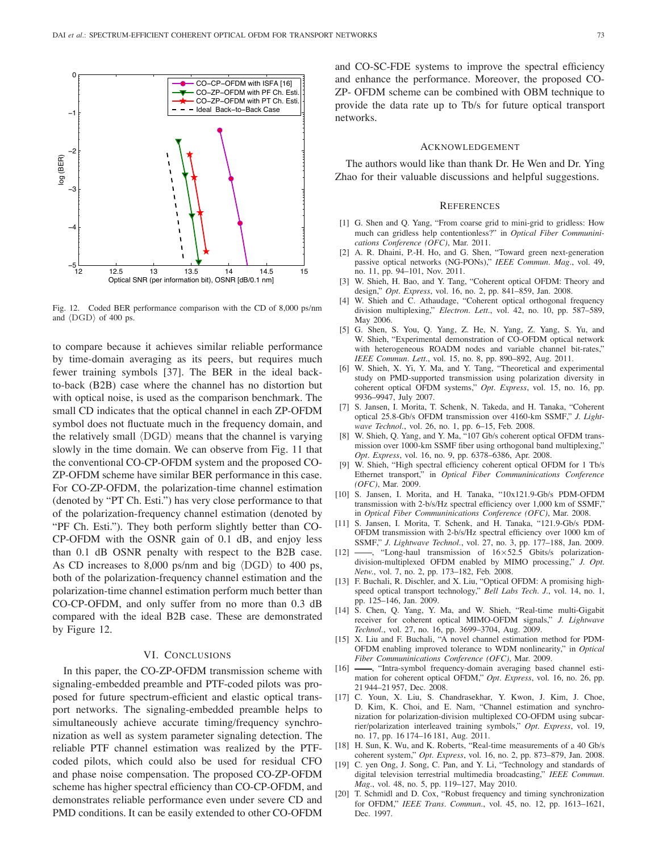

Fig. 12. Coded BER performance comparison with the CD of 8,000 ps/nm and  $\langle$ DGD $\rangle$  of 400 ps.

to compare because it achieves similar reliable performance by time-domain averaging as its peers, but requires much fewer training symbols [37]. The BER in the ideal backto-back (B2B) case where the channel has no distortion but with optical noise, is used as the comparison benchmark. The small CD indicates that the optical channel in each ZP-OFDM symbol does not fluctuate much in the frequency domain, and the relatively small  $\langle DGD \rangle$  means that the channel is varying slowly in the time domain. We can observe from Fig. 11 that the conventional CO-CP-OFDM system and the proposed CO-ZP-OFDM scheme have similar BER performance in this case. For CO-ZP-OFDM, the polarization-time channel estimation (denoted by "PT Ch. Esti.") has very close performance to that of the polarization-frequency channel estimation (denoted by "PF Ch. Esti."). They both perform slightly better than CO-CP-OFDM with the OSNR gain of 0.1 dB, and enjoy less than 0.1 dB OSNR penalty with respect to the B2B case. As CD increases to 8,000 ps/nm and big  $\langle$ DGD $\rangle$  to 400 ps, both of the polarization-frequency channel estimation and the polarization-time channel estimation perform much better than CO-CP-OFDM, and only suffer from no more than 0.3 dB compared with the ideal B2B case. These are demonstrated by Figure 12.

#### VI. CONCLUSIONS

In this paper, the CO-ZP-OFDM transmission scheme with signaling-embedded preamble and PTF-coded pilots was proposed for future spectrum-efficient and elastic optical transport networks. The signaling-embedded preamble helps to simultaneously achieve accurate timing/frequency synchronization as well as system parameter signaling detection. The reliable PTF channel estimation was realized by the PTFcoded pilots, which could also be used for residual CFO and phase noise compensation. The proposed CO-ZP-OFDM scheme has higher spectral efficiency than CO-CP-OFDM, and demonstrates reliable performance even under severe CD and PMD conditions. It can be easily extended to other CO-OFDM

and CO-SC-FDE systems to improve the spectral efficiency and enhance the performance. Moreover, the proposed CO-ZP- OFDM scheme can be combined with OBM technique to provide the data rate up to Tb/s for future optical transport networks.

#### ACKNOWLEDGEMENT

The authors would like than thank Dr. He Wen and Dr. Ying Zhao for their valuable discussions and helpful suggestions.

#### **REFERENCES**

- [1] G. Shen and Q. Yang, "From coarse grid to mini-grid to gridless: How much can gridless help contentionless?" in *Optical Fiber Communinications Conference (OFC)*, Mar. 2011.
- [2] A. R. Dhaini, P.-H. Ho, and G. Shen, "Toward green next-generation passive optical networks (NG-PONs)," *IEEE Commun. Mag.*, vol. 49, no. 11, pp. 94–101, Nov. 2011.
- [3] W. Shieh, H. Bao, and Y. Tang, "Coherent optical OFDM: Theory and design," *Opt. Express*, vol. 16, no. 2, pp. 841–859, Jan. 2008.
- [4] W. Shieh and C. Athaudage, "Coherent optical orthogonal frequency division multiplexing," *Electron. Lett.*, vol. 42, no. 10, pp. 587–589, May 2006.
- [5] G. Shen, S. You, Q. Yang, Z. He, N. Yang, Z. Yang, S. Yu, and W. Shieh, "Experimental demonstration of CO-OFDM optical network with heterogeneous ROADM nodes and variable channel bit-rates," *IEEE Commun. Lett.*, vol. 15, no. 8, pp. 890–892, Aug. 2011.
- [6] W. Shieh, X. Yi, Y. Ma, and Y. Tang, "Theoretical and experimental study on PMD-supported transmission using polarization diversity in coherent optical OFDM systems," *Opt. Express*, vol. 15, no. 16, pp. 9936–9947, July 2007.
- [7] S. Jansen, I. Morita, T. Schenk, N. Takeda, and H. Tanaka, "Coherent optical 25.8-Gb/s OFDM transmission over 4160-km SSMF," *J. Lightwave Technol.*, vol. 26, no. 1, pp. 6–15, Feb. 2008.
- [8] W. Shieh, Q. Yang, and Y. Ma, "107 Gb/s coherent optical OFDM transmission over 1000-km SSMF fiber using orthogonal band multiplexing," *Opt. Express*, vol. 16, no. 9, pp. 6378–6386, Apr. 2008.
- [9] W. Shieh, "High spectral efficiency coherent optical OFDM for 1 Tb/s Ethernet transport," in *Optical Fiber Communinications Conference (OFC)*, Mar. 2009.
- [10] S. Jansen, I. Morita, and H. Tanaka, "10x121.9-Gb/s PDM-OFDM transmission with 2-b/s/Hz spectral efficiency over 1,000 km of SSMF, in *Optical Fiber Communinications Conference (OFC)*, Mar. 2008.
- [11] S. Jansen, I. Morita, T. Schenk, and H. Tanaka, "121.9-Gb/s PDM-OFDM transmission with 2-b/s/Hz spectral efficiency over 1000 km of SSMF," *J. Lightwave Technol.*, vol. 27, no. 3, pp. 177–188, Jan. 2009.
- $[12]$  , "Long-haul transmission of  $16\times52.5$  Gbits/s polarizationdivision-multiplexed OFDM enabled by MIMO processing," *J. Opt. Netw.*, vol. 7, no. 2, pp. 173–182, Feb. 2008.
- [13] F. Buchali, R. Dischler, and X. Liu, "Optical OFDM: A promising highspeed optical transport technology," *Bell Labs Tech. J.*, vol. 14, no. 1, pp. 125–146, Jan. 2009.
- [14] S. Chen, Q. Yang, Y. Ma, and W. Shieh, "Real-time multi-Gigabit receiver for coherent optical MIMO-OFDM signals," *J. Lightwave Technol.*, vol. 27, no. 16, pp. 3699–3704, Aug. 2009.
- [15] X. Liu and F. Buchali, "A novel channel estimation method for PDM-OFDM enabling improved tolerance to WDM nonlinearity," in *Optical Fiber Communinications Conference (OFC)*, Mar. 2009. [16] **——**, "Intra-symbol frequency-domain averaging based
- -, "Intra-symbol frequency-domain averaging based channel estimation for coherent optical OFDM," *Opt. Express*, vol. 16, no. 26, pp. 21 944–21 957, Dec. 2008.
- [17] C. Youn, X. Liu, S. Chandrasekhar, Y. Kwon, J. Kim, J. Choe, D. Kim, K. Choi, and E. Nam, "Channel estimation and synchronization for polarization-division multiplexed CO-OFDM using subcarrier/polarization interleaved training symbols," *Opt. Express*, vol. 19, no. 17, pp. 16 174–16 181, Aug. 2011.
- [18] H. Sun, K. Wu, and K. Roberts, "Real-time measurements of a 40 Gb/s coherent system," *Opt. Express*, vol. 16, no. 2, pp. 873–879, Jan. 2008.
- [19] C. yen Ong, J. Song, C. Pan, and Y. Li, "Technology and standards of digital television terrestrial multimedia broadcasting," *IEEE Commun. Mag.*, vol. 48, no. 5, pp. 119–127, May 2010.
- [20] T. Schmidl and D. Cox, "Robust frequency and timing synchronization for OFDM," *IEEE Trans. Commun.*, vol. 45, no. 12, pp. 1613–1621, Dec. 1997.